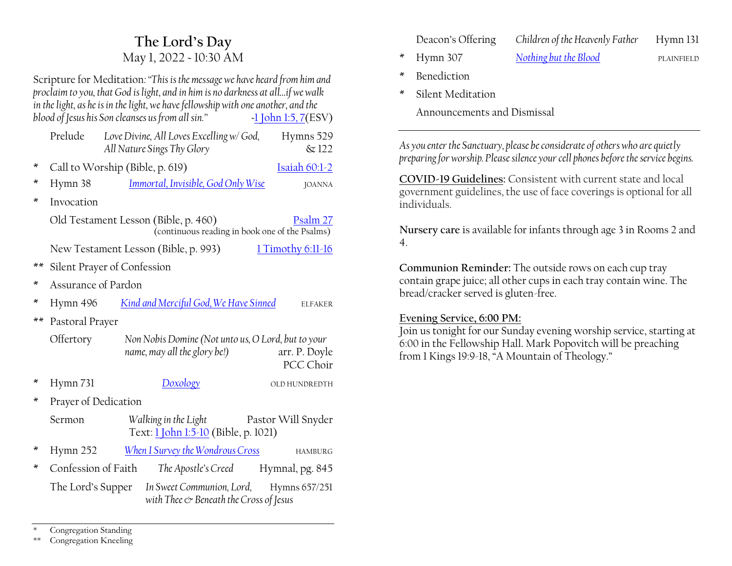## **The Lord·s Day** May 1, 2022 ~ 10:30 AM

Scripture for Meditation*:´This is the message we have heard from him and proclaim to you, that God is light, and in him is no darkness at all...if we walk in the light, as he is in the light, we have fellowship with one another, and the blood of Jesus his Son cleanses us from all sin.*<sup>*n*</sup>  $\rightarrow$  [1 John 1:5, 7\(](https://www.esv.org/1+John+1+5/)ESV)

|      | Prelude                                                                                            |  | Love Divine, All Loves Excelling w/ God,<br>All Nature Sings Thy Glory                              |  | Hymns 529<br>$\&$ 122      |  |
|------|----------------------------------------------------------------------------------------------------|--|-----------------------------------------------------------------------------------------------------|--|----------------------------|--|
| ∗    | Call to Worship (Bible, p. 619)                                                                    |  |                                                                                                     |  | Isaiah 60:1-2              |  |
| ×    | Hymn 38                                                                                            |  | Immortal, Invisible, God Only Wise                                                                  |  | <b>JOANNA</b>              |  |
| ∗    | Invocation                                                                                         |  |                                                                                                     |  |                            |  |
|      | Old Testament Lesson (Bible, p. 460)<br>Psalm 27<br>(continuous reading in book one of the Psalms) |  |                                                                                                     |  |                            |  |
|      | New Testament Lesson (Bible, p. 993)<br>$1$ Timothy 6:11-16                                        |  |                                                                                                     |  |                            |  |
| $**$ | Silent Prayer of Confession                                                                        |  |                                                                                                     |  |                            |  |
| ×    | Assurance of Pardon                                                                                |  |                                                                                                     |  |                            |  |
| ×    | Hymn 496                                                                                           |  | Kind and Merciful God, We Have Sinned                                                               |  | <b>ELFAKER</b>             |  |
| $**$ | Pastoral Prayer                                                                                    |  |                                                                                                     |  |                            |  |
|      | Offertory                                                                                          |  | Non Nobis Domine (Not unto us, O Lord, but to your<br>name, may all the glory be!)                  |  | arr. P. Doyle<br>PCC Choir |  |
| ×    | Hymn 731                                                                                           |  | Doxology                                                                                            |  | OLD HUNDREDTH              |  |
| ∗    | Prayer of Dedication                                                                               |  |                                                                                                     |  |                            |  |
|      | Sermon                                                                                             |  | Walking in the Light Pastor Will Snyder<br>Text: 1 John 1:5-10 (Bible, p. 1021)                     |  |                            |  |
| ∗    | Hymn 252                                                                                           |  | When I Survey the Wondrous Cross                                                                    |  | HAMBURG                    |  |
| ∗    | The Lord's Supper                                                                                  |  | Confession of Faith The Apostle's Creed Hymnal, pg. 845                                             |  |                            |  |
|      |                                                                                                    |  | In Sweet Communion, Lord, Hymns 657/251<br>with Thee $\circlearrowright$ Beneath the Cross of Jesus |  |                            |  |

Deacon's Offering *Children of the Heavenly Father* Hymn 131

- \* Hymn 307 *[Nothing but the Blood](https://hymnary.org/hymn/TH1990/307)* PLAINFIELD
- \* Benediction
- Silent Meditation

Announcements and Dismissal

*As you enter the Sanctuary, please be considerate of others who are quietly preparing for worship. Please silence your cell phones before the service begins.*

**COVID-19 Guidelines:** Consistent with current state and local government guidelines, the use of face coverings is optional for all individuals.

**Nursery care** is available for infants through age 3 in Rooms 2 and 4.

**Communion Reminder:** The outside rows on each cup tray contain grape juice; all other cups in each tray contain wine. The bread/cracker served is gluten-free.

### **Evening Service, 6:00 PM:**

Join us tonight for our Sunday evening worship service, starting at 6:00 in the Fellowship Hall. Mark Popovitch will be preaching from 1 Kings 19:9-18, "A Mountain of Theology."

Congregation Standing

\*\* Congregation Kneeling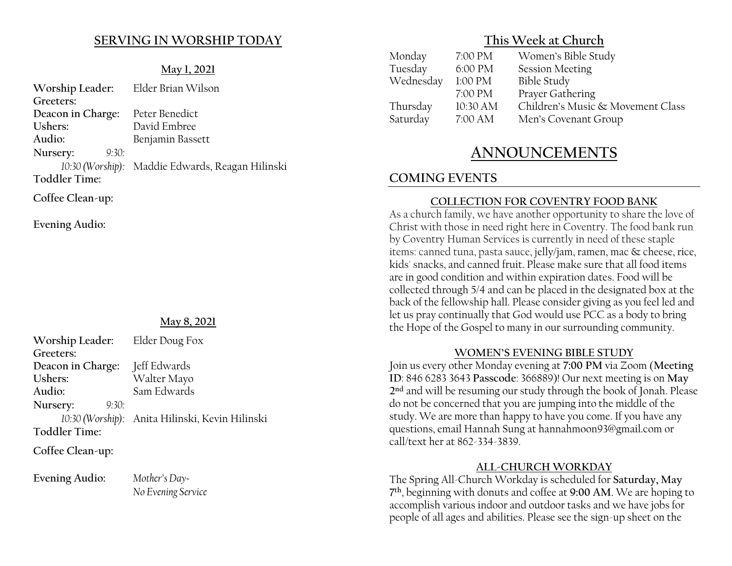### **SERVING IN WORSHIP TODAY**

#### **May 1, 2021**

| Worship Leader: Elder Brian Wilson |                                                  |  |
|------------------------------------|--------------------------------------------------|--|
| Greeters:                          |                                                  |  |
| Deacon in Charge:                  | Peter Benedict                                   |  |
| Ushers:                            | David Embree                                     |  |
| Audio:                             | Benjamin Bassett                                 |  |
| Nursery:<br>9:30:                  |                                                  |  |
|                                    | 10:30 (Worship): Maddie Edwards, Reagan Hilinski |  |
| <b>Toddler Time:</b>               |                                                  |  |
| Coffee Clean-up:                   |                                                  |  |

**Evening Audio:**

#### **May 8, 2021**

| Worship Leader: Elder Doug Fox |                                                 |
|--------------------------------|-------------------------------------------------|
| Greeters:                      |                                                 |
| Deacon in Charge:              | Jeff Edwards                                    |
| Ushers:                        | Walter Mayo                                     |
| Audio:                         | Sam Edwards                                     |
| Nursery:<br>9:30:              |                                                 |
|                                | 10:30 (Worship): Anita Hilinski, Kevin Hilinski |
| <b>Toddler Time:</b>           |                                                 |
|                                |                                                 |

**Coffee Clean-up:**

Evening Audio: *Mother's Day-*

*No Evening Service*

### **This Week at Church**

| Monday    | 7:00 PM  | Women's Bible Study               |
|-----------|----------|-----------------------------------|
| Tuesday   | 6:00 PM  | <b>Session Meeting</b>            |
| Wednesday | 1:00 PM  | <b>Bible Study</b>                |
|           | 7:00 PM  | Prayer Gathering                  |
| Thursday  | 10:30 AM | Children's Music & Movement Class |
| Saturday  | 7:00 AM  | Men's Covenant Group              |
|           |          |                                   |

# **ANNOUNCEMENTS**

## **COMING EVENTS**

### **COLLECTION FOR COVENTRY FOOD BANK**

As a church family, we have another opportunity to share the love of Christ with those in need right here in Coventry. The food bank run by Coventry Human Services is currently in need of these staple items: canned tuna, pasta sauce, jelly/jam, ramen, mac & cheese, rice, kids' snacks, and canned fruit. Please make sure that all food items are in good condition and within expiration dates. Food will be collected through 5/4 and can be placed in the designated box at the back of the fellowship hall. Please consider giving as you feel led and let us pray continually that God would use PCC as a body to bring the Hope of the Gospel to many in our surrounding community.

### **WOMEN'S EVENING BIBLE STUDY**

Join us every other Monday evening at **7:00 PM** via Zoom (**Meeting ID**: 846 6283 3643 **Passcode**: 366889)! Our next meeting is on **May 2nd** and will be resuming our study through the book of Jonah. Please do not be concerned that you are jumping into the middle of the study. We are more than happy to have you come. If you have any questions, email Hannah Sung at hannahmoon93@gmail.com or call/text her at 862-334-3839.

### **ALL-CHURCH WORKDAY**

The Spring All-Church Workday is scheduled for **Saturday, May 7th**, beginning with donuts and coffee at **9:00 AM**. We are hoping to accomplish various indoor and outdoor tasks and we have jobs for people of all ages and abilities. Please see the sign-up sheet on the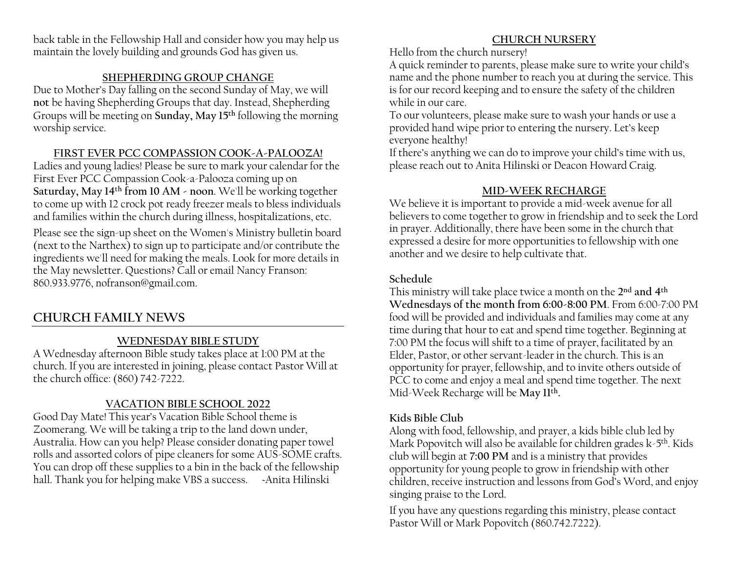back table in the Fellowship Hall and consider how you may help us maintain the lovely building and grounds God has given us.

### **SHEPHERDING GROUP CHANGE**

Due to Mother's Day falling on the second Sunday of May, we will **not** be having Shepherding Groups that day. Instead, Shepherding Groups will be meeting on **Sunday, May 15th** following the morning worship service.

### **FIRST EVER PCC COMPASSION COOK-A-PALOOZA!**

Ladies and young ladies! Please be sure to mark your calendar for the First Ever PCC Compassion Cook-a-Palooza coming up on **Saturday, May 14th from 10 AM - noon**. We'll be working together to come up with 12 crock pot ready freezer meals to bless individuals and families within the church during illness, hospitalizations, etc.

Please see the sign-up sheet on the Women's Ministry bulletin board (next to the Narthex) to sign up to participate and/or contribute the ingredients we'll need for making the meals. Look for more details in the May newsletter. Questions? Call or email Nancy Franson: 860.933.9776, nofranson@gmail.com.

## **CHURCH FAMILY NEWS**

## **WEDNESDAY BIBLE STUDY**

A Wednesday afternoon Bible study takes place at 1:00 PM at the church. If you are interested in joining, please contact Pastor Will at the church office: (860) 742-7222.

## **VACATION BIBLE SCHOOL 2022**

Good Day Mate! This year's Vacation Bible School theme is Zoomerang. We will be taking a trip to the land down under, Australia. How can you help? Please consider donating paper towel rolls and assorted colors of pipe cleaners for some AUS-SOME crafts. You can drop off these supplies to a bin in the back of the fellowship hall. Thank you for helping make VBS a success. <br>Anita Hilinski

## **CHURCH NURSERY**

Hello from the church nursery!

A quick reminder to parents, please make sure to write your child's name and the phone number to reach you at during the service. This is for our record keeping and to ensure the safety of the children while in our care.

To our volunteers, please make sure to wash your hands or use a provided hand wipe prior to entering the nursery. Let's keep everyone healthy!

If there's anything we can do to improve your child's time with us, please reach out to Anita Hilinski or Deacon Howard Craig.

## **MID-WEEK RECHARGE**

We believe it is important to provide a mid-week avenue for all believers to come together to grow in friendship and to seek the Lord in prayer. Additionally, there have been some in the church that expressed a desire for more opportunities to fellowship with one another and we desire to help cultivate that.

### **Schedule**

This ministry will take place twice a month on the **2nd and 4th Wednesdays of the month from 6:00-8:00 PM**. From 6:00-7:00 PM food will be provided and individuals and families may come at any time during that hour to eat and spend time together. Beginning at 7:00 PM the focus will shift to a time of prayer, facilitated by an Elder, Pastor, or other servant-leader in the church. This is an opportunity for prayer, fellowship, and to invite others outside of PCC to come and enjoy a meal and spend time together. The next Mid-Week Recharge will be **May 11th.**

## **Kids Bible Club**

Along with food, fellowship, and prayer, a kids bible club led by Mark Popovitch will also be available for children grades k-5<sup>th</sup>. Kids club will begin at **7:00 PM** and is a ministry that provides opportunity for young people to grow in friendship with other children, receive instruction and lessons from God's Word, and enjoy singing praise to the Lord.

If you have any questions regarding this ministry, please contact Pastor Will or Mark Popovitch (860.742.7222).